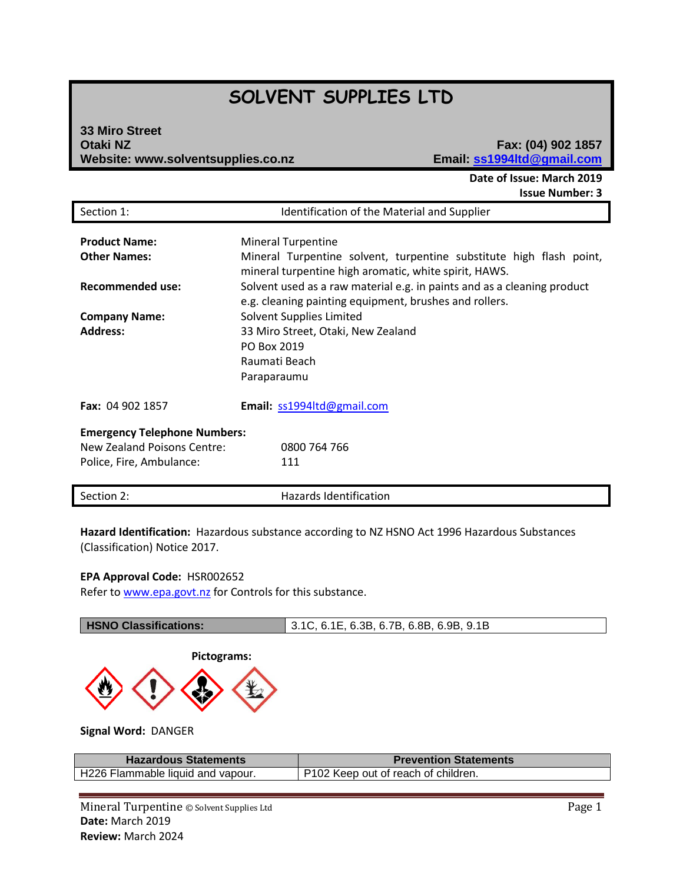# **SOLVENT SUPPLIES LTD**

# **33 Miro Street Otaki NZ Fax: (04) 902 1857 Website: www.solventsupplies.co.nz**

**Date of Issue: March 2019 Issue Number: 3**

| Section 1:                          | Identification of the Material and Supplier                                                                                       |  |  |
|-------------------------------------|-----------------------------------------------------------------------------------------------------------------------------------|--|--|
| <b>Product Name:</b>                |                                                                                                                                   |  |  |
|                                     | <b>Mineral Turpentine</b>                                                                                                         |  |  |
| <b>Other Names:</b>                 | Mineral Turpentine solvent, turpentine substitute high flash point,<br>mineral turpentine high aromatic, white spirit, HAWS.      |  |  |
| <b>Recommended use:</b>             | Solvent used as a raw material e.g. in paints and as a cleaning product<br>e.g. cleaning painting equipment, brushes and rollers. |  |  |
| <b>Company Name:</b>                | <b>Solvent Supplies Limited</b>                                                                                                   |  |  |
| <b>Address:</b>                     | 33 Miro Street, Otaki, New Zealand                                                                                                |  |  |
|                                     | PO Box 2019                                                                                                                       |  |  |
|                                     | Raumati Beach                                                                                                                     |  |  |
|                                     |                                                                                                                                   |  |  |
|                                     | Paraparaumu                                                                                                                       |  |  |
| Fax: 04 902 1857                    | Email: ss1994ltd@gmail.com                                                                                                        |  |  |
| <b>Emergency Telephone Numbers:</b> |                                                                                                                                   |  |  |
| New Zealand Poisons Centre:         | 0800 764 766                                                                                                                      |  |  |
| Police, Fire, Ambulance:            | 111                                                                                                                               |  |  |
|                                     |                                                                                                                                   |  |  |
| Section 2:                          | Hazards Identification                                                                                                            |  |  |

**Hazard Identification:** Hazardous substance according to NZ HSNO Act 1996 Hazardous Substances (Classification) Notice 2017.

#### **EPA Approval Code:** HSR002652

Refer t[o www.epa.govt.nz](http://www.epa.govt.nz/) for Controls for this substance.

| <b>HSNO Classifications:</b> | 1 3.1C, 6.1E, 6.3B, 6.7B, 6.8B, 6.9B, 9.1B |
|------------------------------|--------------------------------------------|
| Pictograms:                  |                                            |



**Signal Word:** DANGER

| <b>Hazardous Statements</b>       | <b>Prevention Statements</b>        |
|-----------------------------------|-------------------------------------|
| H226 Flammable liquid and vapour. | P102 Keep out of reach of children. |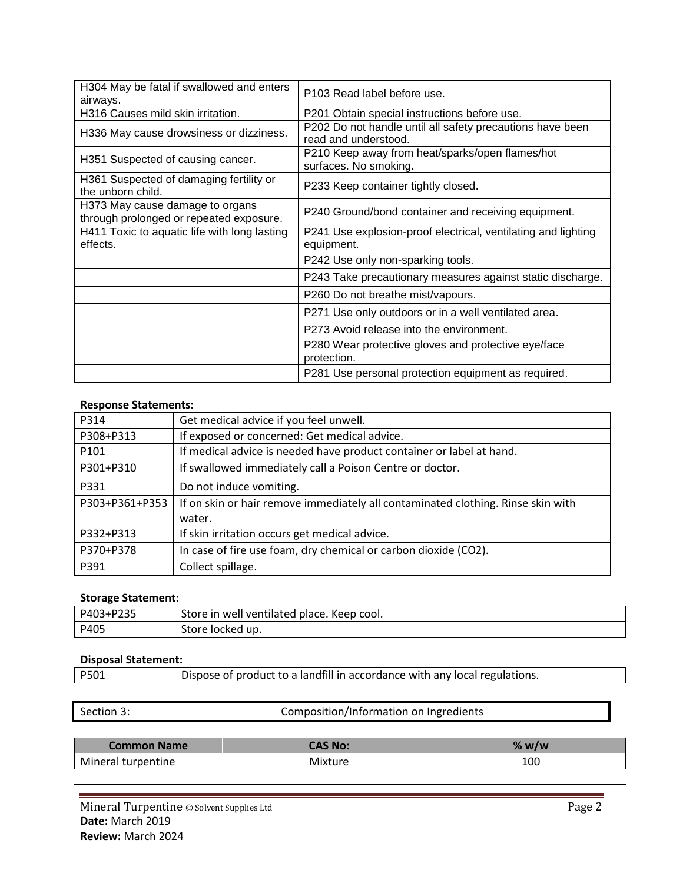| H304 May be fatal if swallowed and enters<br>airways.                      | P103 Read label before use.                                                       |
|----------------------------------------------------------------------------|-----------------------------------------------------------------------------------|
| H316 Causes mild skin irritation.                                          | P201 Obtain special instructions before use.                                      |
| H336 May cause drowsiness or dizziness.                                    | P202 Do not handle until all safety precautions have been<br>read and understood. |
| H351 Suspected of causing cancer.                                          | P210 Keep away from heat/sparks/open flames/hot<br>surfaces. No smoking.          |
| H361 Suspected of damaging fertility or<br>the unborn child.               | P233 Keep container tightly closed.                                               |
| H373 May cause damage to organs<br>through prolonged or repeated exposure. | P240 Ground/bond container and receiving equipment.                               |
| H411 Toxic to aquatic life with long lasting<br>effects.                   | P241 Use explosion-proof electrical, ventilating and lighting<br>equipment.       |
|                                                                            | P242 Use only non-sparking tools.                                                 |
|                                                                            | P243 Take precautionary measures against static discharge.                        |
|                                                                            | P260 Do not breathe mist/vapours.                                                 |
|                                                                            | P271 Use only outdoors or in a well ventilated area.                              |
|                                                                            | P273 Avoid release into the environment.                                          |
|                                                                            | P280 Wear protective gloves and protective eye/face<br>protection.                |
|                                                                            | P281 Use personal protection equipment as required.                               |

### **Response Statements:**

| P314             | Get medical advice if you feel unwell.                                           |
|------------------|----------------------------------------------------------------------------------|
| P308+P313        | If exposed or concerned: Get medical advice.                                     |
| P <sub>101</sub> | If medical advice is needed have product container or label at hand.             |
| P301+P310        | If swallowed immediately call a Poison Centre or doctor.                         |
| P331             | Do not induce vomiting.                                                          |
| P303+P361+P353   | If on skin or hair remove immediately all contaminated clothing. Rinse skin with |
|                  | water.                                                                           |
| P332+P313        | If skin irritation occurs get medical advice.                                    |
| P370+P378        | In case of fire use foam, dry chemical or carbon dioxide (CO2).                  |
| P391             | Collect spillage.                                                                |

# **Storage Statement:**

| P403+P235 | Store in well ventilated place. Keep cool. |
|-----------|--------------------------------------------|
| P405      | Store locked up.                           |

#### **Disposal Statement:**

| P501<br>Dispose of product to a landfill in accordance with any local regulations. |  |
|------------------------------------------------------------------------------------|--|
|------------------------------------------------------------------------------------|--|

Section 3: Composition/Information on Ingredients **Common Name CAS No: 2.49 Williams CAS No: 2.69 Williams 2.69 Williams 2.69 Williams 2.69 Williams 2.69 Williams 2.69 Williams 2.69 Williams 2.69 Williams 2.69 Williams 2.69 Williams 2.69 Willia** Mineral turpentine and a mixture the Mixture of the Mixture 100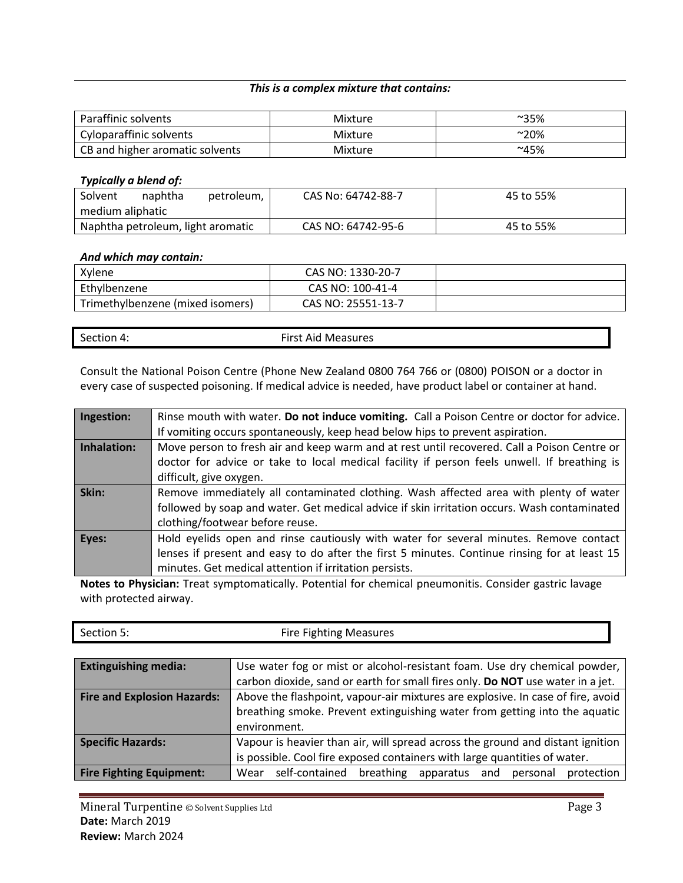### *This is a complex mixture that contains:*

| Paraffinic solvents             | Mixture | $^{\sim}35\%$ |
|---------------------------------|---------|---------------|
| Cyloparaffinic solvents         | Mixture | $^{\sim}20\%$ |
| CB and higher aromatic solvents | Mixture | ~145%         |

#### *Typically a blend of:*

| Solvent                           | naphtha | petroleum, | CAS No: 64742-88-7 | 45 to 55% |
|-----------------------------------|---------|------------|--------------------|-----------|
| medium aliphatic                  |         |            |                    |           |
| Naphtha petroleum, light aromatic |         |            | CAS NO: 64742-95-6 | 45 to 55% |

#### *And which may contain:*

| Xylene                           | CAS NO: 1330-20-7  |  |
|----------------------------------|--------------------|--|
| Ethylbenzene                     | CAS NO: 100-41-4   |  |
| Trimethylbenzene (mixed isomers) | CAS NO: 25551-13-7 |  |

| <b>First Aid Measures</b><br>Section 4: |  |
|-----------------------------------------|--|
|-----------------------------------------|--|

Consult the National Poison Centre (Phone New Zealand 0800 764 766 or (0800) POISON or a doctor in every case of suspected poisoning. If medical advice is needed, have product label or container at hand.

| Ingestion:  | Rinse mouth with water. Do not induce vomiting. Call a Poison Centre or doctor for advice.   |
|-------------|----------------------------------------------------------------------------------------------|
|             | If vomiting occurs spontaneously, keep head below hips to prevent aspiration.                |
| Inhalation: | Move person to fresh air and keep warm and at rest until recovered. Call a Poison Centre or  |
|             | doctor for advice or take to local medical facility if person feels unwell. If breathing is  |
|             | difficult, give oxygen.                                                                      |
| Skin:       | Remove immediately all contaminated clothing. Wash affected area with plenty of water        |
|             | followed by soap and water. Get medical advice if skin irritation occurs. Wash contaminated  |
|             | clothing/footwear before reuse.                                                              |
| Eyes:       | Hold eyelids open and rinse cautiously with water for several minutes. Remove contact        |
|             | lenses if present and easy to do after the first 5 minutes. Continue rinsing for at least 15 |
|             | minutes. Get medical attention if irritation persists.                                       |

**Notes to Physician:** Treat symptomatically. Potential for chemical pneumonitis. Consider gastric lavage with protected airway.

| Section 5:<br><b>Fire Fighting Measures</b> |  |
|---------------------------------------------|--|
|---------------------------------------------|--|

| <b>Extinguishing media:</b>        | Use water fog or mist or alcohol-resistant foam. Use dry chemical powder,         |  |  |
|------------------------------------|-----------------------------------------------------------------------------------|--|--|
|                                    | carbon dioxide, sand or earth for small fires only. Do NOT use water in a jet.    |  |  |
| <b>Fire and Explosion Hazards:</b> | Above the flashpoint, vapour-air mixtures are explosive. In case of fire, avoid   |  |  |
|                                    | breathing smoke. Prevent extinguishing water from getting into the aquatic        |  |  |
|                                    | environment.                                                                      |  |  |
| <b>Specific Hazards:</b>           | Vapour is heavier than air, will spread across the ground and distant ignition    |  |  |
|                                    | is possible. Cool fire exposed containers with large quantities of water.         |  |  |
| <b>Fire Fighting Equipment:</b>    | self-contained<br>breathing<br>apparatus<br>protection<br>Wear<br>and<br>personal |  |  |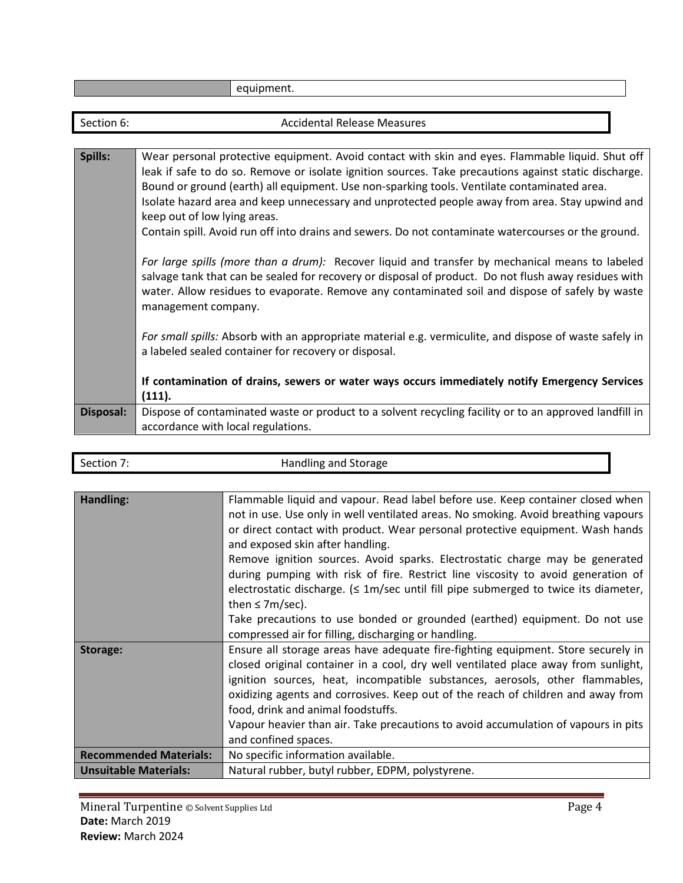|                  | equipment.                                                                                                                                                                                                                                                                                                                                                                                                                                                                                                                                                                                                                                                                                                                                                                                                                                                                                                                                                                                                                                                                                                                                                 |
|------------------|------------------------------------------------------------------------------------------------------------------------------------------------------------------------------------------------------------------------------------------------------------------------------------------------------------------------------------------------------------------------------------------------------------------------------------------------------------------------------------------------------------------------------------------------------------------------------------------------------------------------------------------------------------------------------------------------------------------------------------------------------------------------------------------------------------------------------------------------------------------------------------------------------------------------------------------------------------------------------------------------------------------------------------------------------------------------------------------------------------------------------------------------------------|
|                  |                                                                                                                                                                                                                                                                                                                                                                                                                                                                                                                                                                                                                                                                                                                                                                                                                                                                                                                                                                                                                                                                                                                                                            |
| Section 6:       | <b>Accidental Release Measures</b>                                                                                                                                                                                                                                                                                                                                                                                                                                                                                                                                                                                                                                                                                                                                                                                                                                                                                                                                                                                                                                                                                                                         |
|                  |                                                                                                                                                                                                                                                                                                                                                                                                                                                                                                                                                                                                                                                                                                                                                                                                                                                                                                                                                                                                                                                                                                                                                            |
| Spills:          | Wear personal protective equipment. Avoid contact with skin and eyes. Flammable liquid. Shut off<br>leak if safe to do so. Remove or isolate ignition sources. Take precautions against static discharge.<br>Bound or ground (earth) all equipment. Use non-sparking tools. Ventilate contaminated area.<br>Isolate hazard area and keep unnecessary and unprotected people away from area. Stay upwind and<br>keep out of low lying areas.<br>Contain spill. Avoid run off into drains and sewers. Do not contaminate watercourses or the ground.<br>For large spills (more than a drum): Recover liquid and transfer by mechanical means to labeled<br>salvage tank that can be sealed for recovery or disposal of product. Do not flush away residues with<br>water. Allow residues to evaporate. Remove any contaminated soil and dispose of safely by waste<br>management company.<br>For small spills: Absorb with an appropriate material e.g. vermiculite, and dispose of waste safely in<br>a labeled sealed container for recovery or disposal.<br>If contamination of drains, sewers or water ways occurs immediately notify Emergency Services |
|                  | (111).                                                                                                                                                                                                                                                                                                                                                                                                                                                                                                                                                                                                                                                                                                                                                                                                                                                                                                                                                                                                                                                                                                                                                     |
| <b>Disposal:</b> | Dispose of contaminated waste or product to a solvent recycling facility or to an approved landfill in<br>accordance with local regulations.                                                                                                                                                                                                                                                                                                                                                                                                                                                                                                                                                                                                                                                                                                                                                                                                                                                                                                                                                                                                               |
|                  |                                                                                                                                                                                                                                                                                                                                                                                                                                                                                                                                                                                                                                                                                                                                                                                                                                                                                                                                                                                                                                                                                                                                                            |

| Section 7:                    | Handling and Storage                                                                                                                                                                                                                                                                                                                                                                                                                                                                                                                                                                                                                                                                                                     |
|-------------------------------|--------------------------------------------------------------------------------------------------------------------------------------------------------------------------------------------------------------------------------------------------------------------------------------------------------------------------------------------------------------------------------------------------------------------------------------------------------------------------------------------------------------------------------------------------------------------------------------------------------------------------------------------------------------------------------------------------------------------------|
|                               |                                                                                                                                                                                                                                                                                                                                                                                                                                                                                                                                                                                                                                                                                                                          |
| Handling:                     | Flammable liquid and vapour. Read label before use. Keep container closed when<br>not in use. Use only in well ventilated areas. No smoking. Avoid breathing vapours<br>or direct contact with product. Wear personal protective equipment. Wash hands<br>and exposed skin after handling.<br>Remove ignition sources. Avoid sparks. Electrostatic charge may be generated<br>during pumping with risk of fire. Restrict line viscosity to avoid generation of<br>electrostatic discharge. $\leq 1$ m/sec until fill pipe submerged to twice its diameter,<br>then $\leq$ 7m/sec).<br>Take precautions to use bonded or grounded (earthed) equipment. Do not use<br>compressed air for filling, discharging or handling. |
| Storage:                      | Ensure all storage areas have adequate fire-fighting equipment. Store securely in<br>closed original container in a cool, dry well ventilated place away from sunlight,<br>ignition sources, heat, incompatible substances, aerosols, other flammables,<br>oxidizing agents and corrosives. Keep out of the reach of children and away from<br>food, drink and animal foodstuffs.<br>Vapour heavier than air. Take precautions to avoid accumulation of vapours in pits<br>and confined spaces.                                                                                                                                                                                                                          |
| <b>Recommended Materials:</b> | No specific information available.                                                                                                                                                                                                                                                                                                                                                                                                                                                                                                                                                                                                                                                                                       |
| <b>Unsuitable Materials:</b>  | Natural rubber, butyl rubber, EDPM, polystyrene.                                                                                                                                                                                                                                                                                                                                                                                                                                                                                                                                                                                                                                                                         |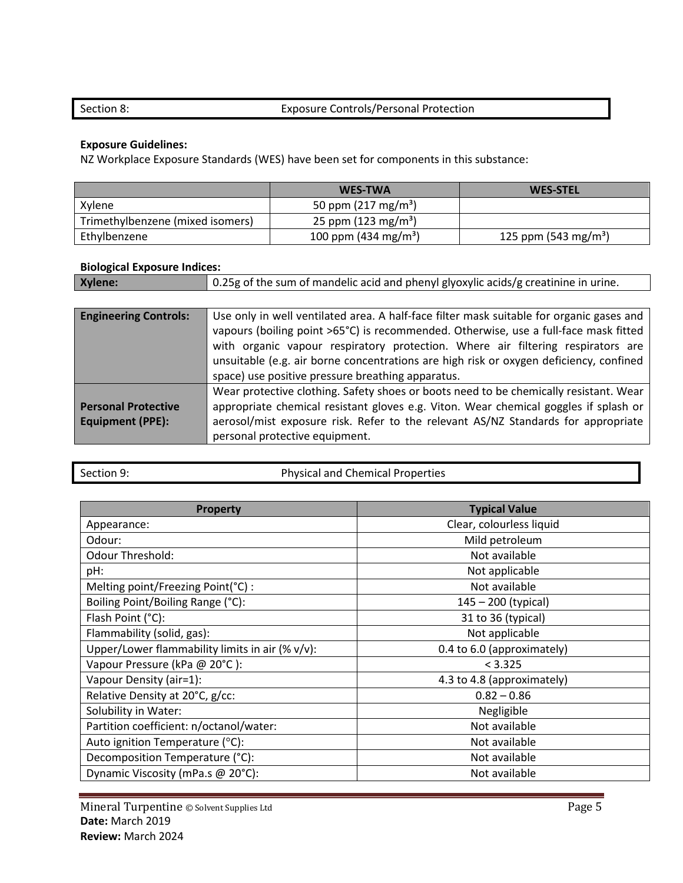# Section 8: Exposure Controls/Personal Protection

# **Exposure Guidelines:**

NZ Workplace Exposure Standards (WES) have been set for components in this substance:

|                                  | <b>WES-TWA</b>                   | <b>WES-STEL</b>                  |
|----------------------------------|----------------------------------|----------------------------------|
| Xylene                           | 50 ppm $(217 \text{ mg/m}^3)$    |                                  |
| Trimethylbenzene (mixed isomers) | 25 ppm $(123 \text{ mg/m}^3)$    |                                  |
| Ethylbenzene                     | 100 ppm (434 mg/m <sup>3</sup> ) | 125 ppm (543 mg/m <sup>3</sup> ) |

# **Biological Exposure Indices:**

| Xylene: | $\Box$ 0.25g of the sum of mandelic acid and phenyl glyoxylic acids/g creatinine in urine. |
|---------|--------------------------------------------------------------------------------------------|
|---------|--------------------------------------------------------------------------------------------|

| <b>Engineering Controls:</b>                          | Use only in well ventilated area. A half-face filter mask suitable for organic gases and<br>vapours (boiling point >65°C) is recommended. Otherwise, use a full-face mask fitted<br>with organic vapour respiratory protection. Where air filtering respirators are<br>unsuitable (e.g. air borne concentrations are high risk or oxygen deficiency, confined<br>space) use positive pressure breathing apparatus. |
|-------------------------------------------------------|--------------------------------------------------------------------------------------------------------------------------------------------------------------------------------------------------------------------------------------------------------------------------------------------------------------------------------------------------------------------------------------------------------------------|
| <b>Personal Protective</b><br><b>Equipment (PPE):</b> | Wear protective clothing. Safety shoes or boots need to be chemically resistant. Wear<br>appropriate chemical resistant gloves e.g. Viton. Wear chemical goggles if splash or<br>aerosol/mist exposure risk. Refer to the relevant AS/NZ Standards for appropriate<br>personal protective equipment.                                                                                                               |

| Section 9: |  |  |
|------------|--|--|

Physical and Chemical Properties

| <b>Property</b>                                 | <b>Typical Value</b>       |
|-------------------------------------------------|----------------------------|
| Appearance:                                     | Clear, colourless liquid   |
| Odour:                                          | Mild petroleum             |
| <b>Odour Threshold:</b>                         | Not available              |
| pH:                                             | Not applicable             |
| Melting point/Freezing Point(°C) :              | Not available              |
| Boiling Point/Boiling Range (°C):               | 145 - 200 (typical)        |
| Flash Point (°C):                               | 31 to 36 (typical)         |
| Flammability (solid, gas):                      | Not applicable             |
| Upper/Lower flammability limits in air (% v/v): | 0.4 to 6.0 (approximately) |
| Vapour Pressure (kPa @ 20°C):                   | < 3.325                    |
| Vapour Density (air=1):                         | 4.3 to 4.8 (approximately) |
| Relative Density at 20°C, g/cc:                 | $0.82 - 0.86$              |
| Solubility in Water:                            | Negligible                 |
| Partition coefficient: n/octanol/water:         | Not available              |
| Auto ignition Temperature (°C):                 | Not available              |
| Decomposition Temperature (°C):                 | Not available              |
| Dynamic Viscosity (mPa.s @ 20°C):               | Not available              |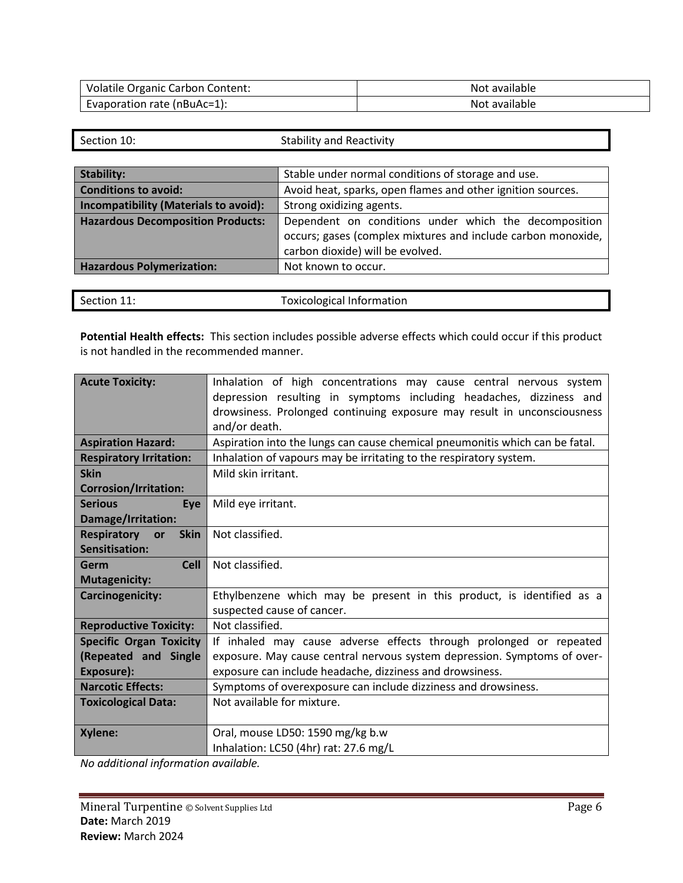| <b>Volatile Organic Carbon Content:</b> | Not available |
|-----------------------------------------|---------------|
| Evaporation rate (nBuAc=1):             | Not available |

| Section 10:                                                                                       | <b>Stability and Reactivity</b>                              |  |
|---------------------------------------------------------------------------------------------------|--------------------------------------------------------------|--|
|                                                                                                   |                                                              |  |
| <b>Stability:</b>                                                                                 | Stable under normal conditions of storage and use.           |  |
| <b>Conditions to avoid:</b>                                                                       | Avoid heat, sparks, open flames and other ignition sources.  |  |
| Incompatibility (Materials to avoid):                                                             | Strong oxidizing agents.                                     |  |
| <b>Hazardous Decomposition Products:</b><br>Dependent on conditions under which the decomposition |                                                              |  |
|                                                                                                   | occurs; gases (complex mixtures and include carbon monoxide, |  |
|                                                                                                   | carbon dioxide) will be evolved.                             |  |
| <b>Hazardous Polymerization:</b>                                                                  | Not known to occur.                                          |  |
|                                                                                                   |                                                              |  |

| <b>Toxicological Information</b><br>Section 11: |  |
|-------------------------------------------------|--|
|-------------------------------------------------|--|

**Potential Health effects:** This section includes possible adverse effects which could occur if this product is not handled in the recommended manner.

| <b>Acute Toxicity:</b>         | Inhalation of high concentrations may cause central nervous system           |  |
|--------------------------------|------------------------------------------------------------------------------|--|
|                                | depression resulting in symptoms including headaches, dizziness and          |  |
|                                | drowsiness. Prolonged continuing exposure may result in unconsciousness      |  |
|                                | and/or death.                                                                |  |
| <b>Aspiration Hazard:</b>      | Aspiration into the lungs can cause chemical pneumonitis which can be fatal. |  |
| <b>Respiratory Irritation:</b> | Inhalation of vapours may be irritating to the respiratory system.           |  |
| <b>Skin</b>                    | Mild skin irritant.                                                          |  |
| <b>Corrosion/Irritation:</b>   |                                                                              |  |
| <b>Serious</b><br>Eye          | Mild eye irritant.                                                           |  |
| Damage/Irritation:             |                                                                              |  |
| Respiratory or<br><b>Skin</b>  | Not classified.                                                              |  |
| Sensitisation:                 |                                                                              |  |
| <b>Cell</b><br>Germ            | Not classified.                                                              |  |
| <b>Mutagenicity:</b>           |                                                                              |  |
| Carcinogenicity:               | Ethylbenzene which may be present in this product, is identified as a        |  |
|                                | suspected cause of cancer.                                                   |  |
| <b>Reproductive Toxicity:</b>  | Not classified.                                                              |  |
| <b>Specific Organ Toxicity</b> | If inhaled may cause adverse effects through prolonged or repeated           |  |
| (Repeated and Single           | exposure. May cause central nervous system depression. Symptoms of over-     |  |
| Exposure):                     | exposure can include headache, dizziness and drowsiness.                     |  |
| <b>Narcotic Effects:</b>       | Symptoms of overexposure can include dizziness and drowsiness.               |  |
| <b>Toxicological Data:</b>     | Not available for mixture.                                                   |  |
|                                |                                                                              |  |
| Xylene:                        | Oral, mouse LD50: 1590 mg/kg b.w                                             |  |
|                                | Inhalation: LC50 (4hr) rat: 27.6 mg/L                                        |  |

*No additional information available.*

٦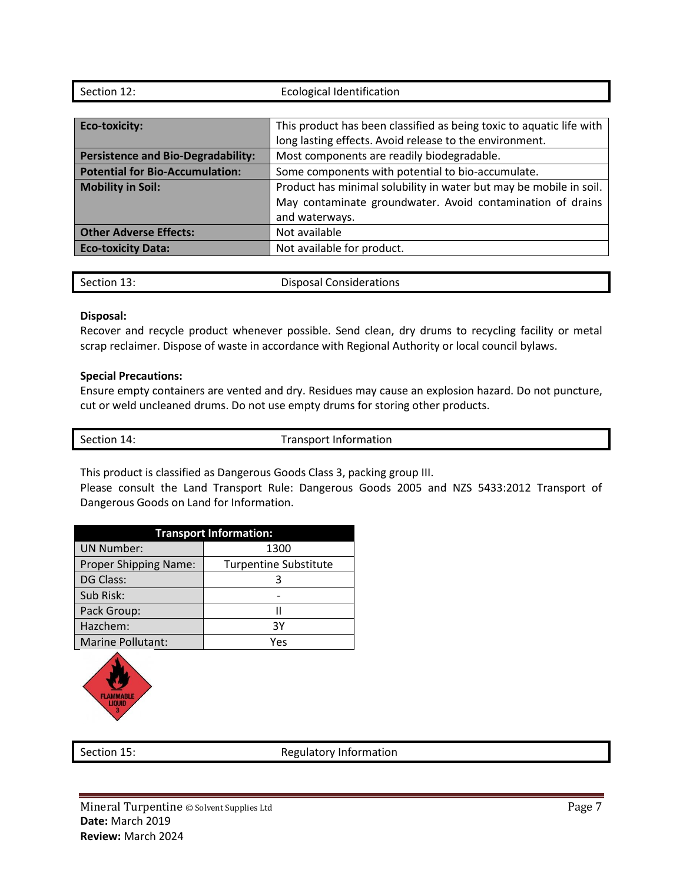| Section 12:                               | <b>Ecological Identification</b>                                     |
|-------------------------------------------|----------------------------------------------------------------------|
|                                           |                                                                      |
| <b>Eco-toxicity:</b>                      | This product has been classified as being toxic to aquatic life with |
|                                           | long lasting effects. Avoid release to the environment.              |
| <b>Persistence and Bio-Degradability:</b> | Most components are readily biodegradable.                           |
| <b>Potential for Bio-Accumulation:</b>    | Some components with potential to bio-accumulate.                    |
| <b>Mobility in Soil:</b>                  | Product has minimal solubility in water but may be mobile in soil.   |
|                                           | May contaminate groundwater. Avoid contamination of drains           |
|                                           | and waterways.                                                       |
| <b>Other Adverse Effects:</b>             | Not available                                                        |
| <b>Eco-toxicity Data:</b>                 | Not available for product.                                           |
|                                           |                                                                      |

| Section 13:<br><b>Disposal Considerations</b> |
|-----------------------------------------------|
|-----------------------------------------------|

#### **Disposal:**

Recover and recycle product whenever possible. Send clean, dry drums to recycling facility or metal scrap reclaimer. Dispose of waste in accordance with Regional Authority or local council bylaws.

#### **Special Precautions:**

Ensure empty containers are vented and dry. Residues may cause an explosion hazard. Do not puncture, cut or weld uncleaned drums. Do not use empty drums for storing other products.

Section 14: Transport Information

This product is classified as Dangerous Goods Class 3, packing group III.

Please consult the Land Transport Rule: Dangerous Goods 2005 and NZS 5433:2012 Transport of Dangerous Goods on Land for Information.

| <b>Transport Information:</b> |                              |  |  |
|-------------------------------|------------------------------|--|--|
| <b>UN Number:</b>             | 1300                         |  |  |
| Proper Shipping Name:         | <b>Turpentine Substitute</b> |  |  |
| DG Class:                     |                              |  |  |
| Sub Risk:                     |                              |  |  |
| Pack Group:                   | Ш                            |  |  |
| Hazchem:                      | 3Υ                           |  |  |
| Marine Pollutant:             | Yes                          |  |  |



Section 15: Section 15: Regulatory Information